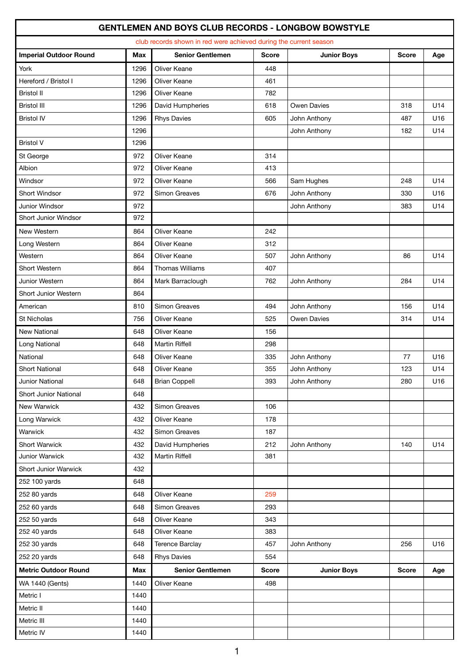## **GENTLEMEN AND BOYS CLUB RECORDS - LONGBOW BOWSTYLE**

| club records shown in red were achieved during the current season |            |                         |              |                    |              |     |  |  |  |  |
|-------------------------------------------------------------------|------------|-------------------------|--------------|--------------------|--------------|-----|--|--|--|--|
| <b>Imperial Outdoor Round</b>                                     | <b>Max</b> | <b>Senior Gentlemen</b> | <b>Score</b> | <b>Junior Boys</b> | <b>Score</b> | Age |  |  |  |  |
| York                                                              | 1296       | Oliver Keane            | 448          |                    |              |     |  |  |  |  |
| Hereford / Bristol I                                              | 1296       | Oliver Keane            | 461          |                    |              |     |  |  |  |  |
| <b>Bristol II</b>                                                 | 1296       | Oliver Keane            | 782          |                    |              |     |  |  |  |  |
| <b>Bristol III</b>                                                | 1296       | David Humpheries        | 618          | Owen Davies        | 318          | U14 |  |  |  |  |
| <b>Bristol IV</b>                                                 | 1296       | <b>Rhys Davies</b>      | 605          | John Anthony       | 487          | U16 |  |  |  |  |
|                                                                   | 1296       |                         |              | John Anthony       | 182          | U14 |  |  |  |  |
| <b>Bristol V</b>                                                  | 1296       |                         |              |                    |              |     |  |  |  |  |
| St George                                                         | 972        | Oliver Keane            | 314          |                    |              |     |  |  |  |  |
| Albion                                                            | 972        | Oliver Keane            | 413          |                    |              |     |  |  |  |  |
| Windsor                                                           | 972        | Oliver Keane            | 566          | Sam Hughes         | 248          | U14 |  |  |  |  |
| <b>Short Windsor</b>                                              | 972        | Simon Greaves           | 676          | John Anthony       | 330          | U16 |  |  |  |  |
| Junior Windsor                                                    | 972        |                         |              | John Anthony       | 383          | U14 |  |  |  |  |
| Short Junior Windsor                                              | 972        |                         |              |                    |              |     |  |  |  |  |
| New Western                                                       | 864        | Oliver Keane            | 242          |                    |              |     |  |  |  |  |
| Long Western                                                      | 864        | Oliver Keane            | 312          |                    |              |     |  |  |  |  |
| Western                                                           | 864        | Oliver Keane            | 507          | John Anthony       | 86           | U14 |  |  |  |  |
| Short Western                                                     | 864        | Thomas Williams         | 407          |                    |              |     |  |  |  |  |
| Junior Western                                                    | 864        | Mark Barraclough        | 762          | John Anthony       | 284          | U14 |  |  |  |  |
| Short Junior Western                                              | 864        |                         |              |                    |              |     |  |  |  |  |
| American                                                          | 810        | Simon Greaves           | 494          | John Anthony       | 156          | U14 |  |  |  |  |
| <b>St Nicholas</b>                                                | 756        | Oliver Keane            | 525          | Owen Davies        | 314          | U14 |  |  |  |  |
| <b>New National</b>                                               | 648        | Oliver Keane            | 156          |                    |              |     |  |  |  |  |
| Long National                                                     | 648        | <b>Martin Riffell</b>   | 298          |                    |              |     |  |  |  |  |
| National                                                          | 648        | Oliver Keane            | 335          | John Anthony       | 77           | U16 |  |  |  |  |
| <b>Short National</b>                                             | 648        | Oliver Keane            | 355          | John Anthony       | 123          | U14 |  |  |  |  |
| Junior National                                                   | 648        | <b>Brian Coppell</b>    | 393          | John Anthony       | 280          | U16 |  |  |  |  |
| Short Junior National                                             | 648        |                         |              |                    |              |     |  |  |  |  |
| New Warwick                                                       | 432        | Simon Greaves           | 106          |                    |              |     |  |  |  |  |
| Long Warwick                                                      | 432        | Oliver Keane            | 178          |                    |              |     |  |  |  |  |
| Warwick                                                           | 432        | Simon Greaves           | 187          |                    |              |     |  |  |  |  |
| Short Warwick                                                     | 432        | David Humpheries        | 212          | John Anthony       | 140          | U14 |  |  |  |  |
| Junior Warwick                                                    | 432        | <b>Martin Riffell</b>   | 381          |                    |              |     |  |  |  |  |
| Short Junior Warwick                                              | 432        |                         |              |                    |              |     |  |  |  |  |
| 252 100 yards                                                     | 648        |                         |              |                    |              |     |  |  |  |  |
| 252 80 yards                                                      | 648        | Oliver Keane            | 259          |                    |              |     |  |  |  |  |
| 252 60 yards                                                      | 648        | Simon Greaves           | 293          |                    |              |     |  |  |  |  |
| 252 50 yards                                                      | 648        | Oliver Keane            | 343          |                    |              |     |  |  |  |  |
| 252 40 yards                                                      | 648        | Oliver Keane            | 383          |                    |              |     |  |  |  |  |
| 252 30 yards                                                      | 648        | Terence Barclay         | 457          | John Anthony       | 256          | U16 |  |  |  |  |
| 252 20 yards                                                      | 648        | <b>Rhys Davies</b>      | 554          |                    |              |     |  |  |  |  |
| <b>Metric Outdoor Round</b>                                       | Max        | <b>Senior Gentlemen</b> | <b>Score</b> | <b>Junior Boys</b> | <b>Score</b> | Age |  |  |  |  |
| <b>WA 1440 (Gents)</b>                                            | 1440       | Oliver Keane            | 498          |                    |              |     |  |  |  |  |
| Metric I                                                          | 1440       |                         |              |                    |              |     |  |  |  |  |
| Metric II                                                         | 1440       |                         |              |                    |              |     |  |  |  |  |
| Metric III                                                        | 1440       |                         |              |                    |              |     |  |  |  |  |
| Metric IV                                                         | 1440       |                         |              |                    |              |     |  |  |  |  |